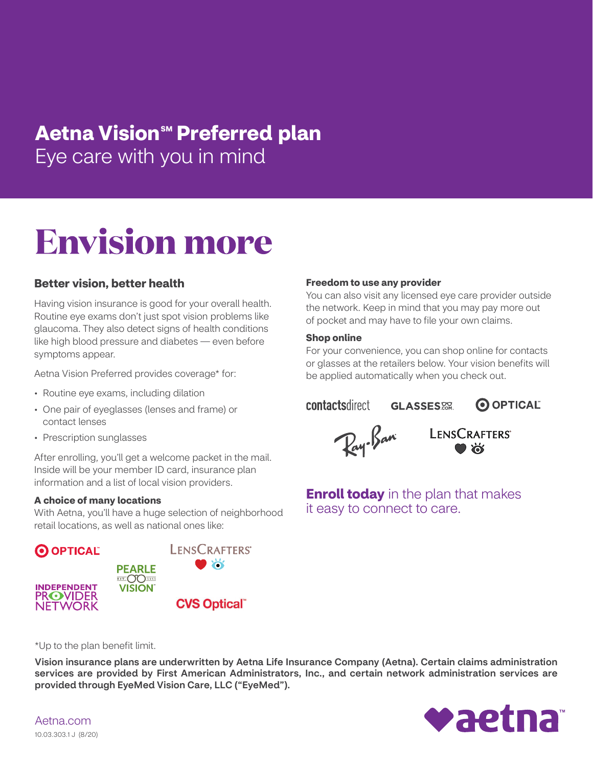# Eye care with you in mind light  $\blacksquare$ **Aetna Vision<sup>sM</sup> Preferred plan**

# **Envision more**

## Better vision, better health

Having vision insurance is good for your overall health. Routine eye exams don't just spot vision problems like glaucoma. They also detect signs of health conditions like high blood pressure and diabetes — even before symptoms appear.

Aetna Vision Preferred provides coverage\* for:

- Routine eye exams, including dilation
- One pair of eyeglasses (lenses and frame) or contact lenses
- Prescription sunglasses

After enrolling, you'll get a welcome packet in the mail. Inside will be your member ID card, insurance plan information and a list of local vision providers.

### A choice of many locations

With Aetna, you'll have a huge selection of neighborhood retail locations, as well as national ones like:



### Freedom to use any provider

You can also visit any licensed eye care provider outside the network. Keep in mind that you may pay more out of pocket and may have to file your own claims.

### Shop online

For your convenience, you can shop online for contacts or glasses at the retailers below. Your vision benefits will be applied automatically when you check out.

**contactsdirect GLASSES**.





**Enroll today** in the plan that makes it easy to connect to care.

\*Up to the plan benefit limit.

Vision insurance plans are underwritten by Aetna Life Insurance Company (Aetna). Certain claims administration services are provided by First American Administrators, Inc., and certain network administration services are provided through EyeMed Vision Care, LLC ("EyeMed").

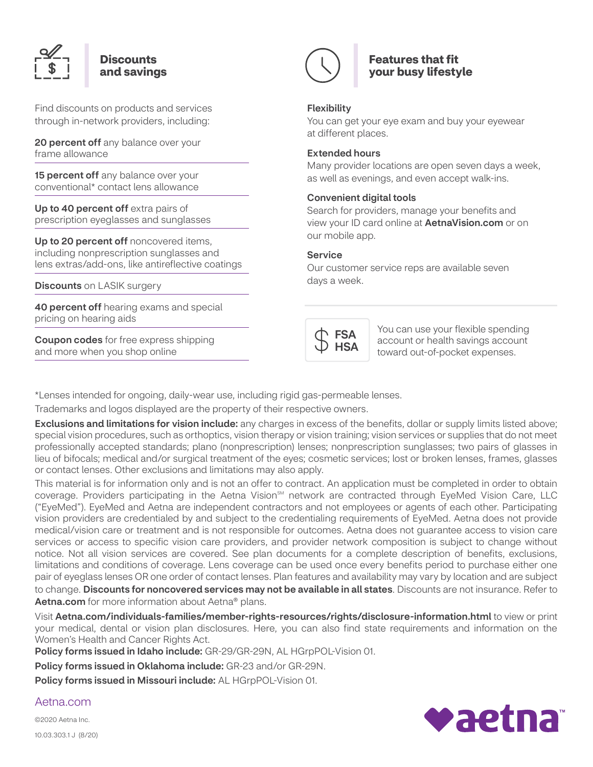

### **Discounts** and savings

Find discounts on products and services through in-network providers, including:

20 percent off any balance over your frame allowance

15 percent off any balance over your conventional\* contact lens allowance

Up to 40 percent off extra pairs of prescription eyeglasses and sunglasses

Up to 20 percent off noncovered items, including nonprescription sunglasses and lens extras/add-ons, like antireflective coatings

**Discounts** on LASIK surgery

**40 percent off** hearing exams and special pricing on hearing aids

**Coupon codes** for free express shipping and more when you shop online



## Features that fit your busy lifestyle

### Flexibility

You can get your eye exam and buy your eyewear at different places.

### Extended hours

Many provider locations are open seven days a week, as well as evenings, and even accept walk-ins.

### Convenient digital tools

Search for providers, manage your benefits and view your ID card online at **AetnaVision.com** or on our mobile app.

### Service

Our customer service reps are available seven days a week.



You can use your flexible spending account or health savings account toward out-of-pocket expenses.

\*Lenses intended for ongoing, daily-wear use, including rigid gas-permeable lenses.

Trademarks and logos displayed are the property of their respective owners.

Exclusions and limitations for vision include: any charges in excess of the benefits, dollar or supply limits listed above; special vision procedures, such as orthoptics, vision therapy or vision training; vision services or supplies that do not meet professionally accepted standards; plano (nonprescription) lenses; nonprescription sunglasses; two pairs of glasses in lieu of bifocals; medical and/or surgical treatment of the eyes; cosmetic services; lost or broken lenses, frames, glasses or contact lenses. Other exclusions and limitations may also apply.

This material is for information only and is not an offer to contract. An application must be completed in order to obtain coverage. Providers participating in the Aetna Vision<sup>sm</sup> network are contracted through EyeMed Vision Care, LLC ("EyeMed"). EyeMed and Aetna are independent contractors and not employees or agents of each other. Participating vision providers are credentialed by and subject to the credentialing requirements of EyeMed. Aetna does not provide medical/vision care or treatment and is not responsible for outcomes. Aetna does not guarantee access to vision care services or access to specific vision care providers, and provider network composition is subject to change without notice. Not all vision services are covered. See plan documents for a complete description of benefits, exclusions, limitations and conditions of coverage. Lens coverage can be used once every benefits period to purchase either one pair of eyeglass lenses OR one order of contact lenses. Plan features and availability may vary by location and are subject to change. Discounts for noncovered services may not be available in all states. Discounts are not insurance. Refer to Aetna.com for more information about Aetna<sup>®</sup> plans.

Visit Aetna.com/individuals-families/member-rights-resources/rights/disclosure-information.html to view or print your medical, dental or vision plan disclosures. Here, you can also find state requirements and information on the Women's Health and Cancer Rights Act.

Policy forms issued in Idaho include: GR-29/GR-29N, AL HGrpPOL-Vision 01.

Policy forms issued in Oklahoma include: GR-23 and/or GR-29N.

Policy forms issued in Missouri include: AL HGrpPOL-Vision 01.



Aetna.com

©2020 Aetna Inc. 10.03.303.1 J (8/20)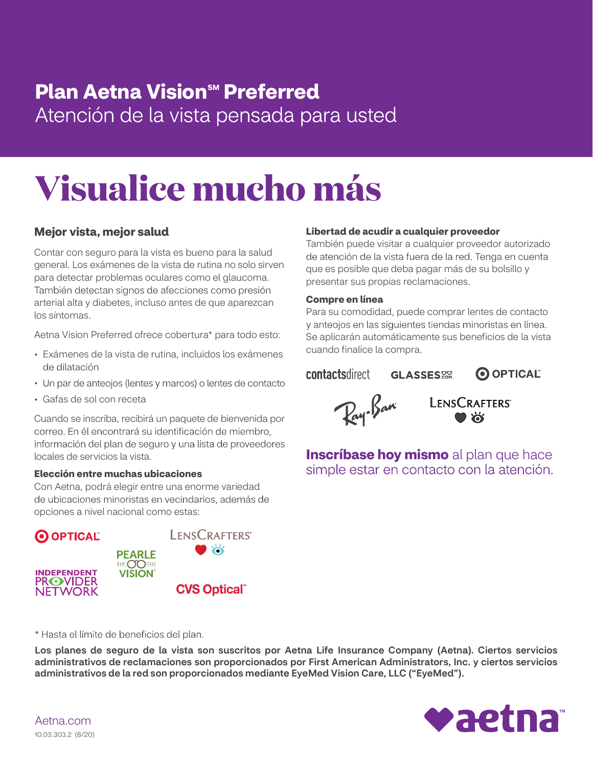# Plan Aetna Vision™ Preferred Atención de la vista pensada para usted

# **Visualice mucho más**

# Mejor vista, mejor salud

Contar con seguro para la vista es bueno para la salud general. Los exámenes de la vista de rutina no solo sirven para detectar problemas oculares como el glaucoma. También detectan signos de afecciones como presión arterial alta y diabetes, incluso antes de que aparezcan los síntomas.

Aetna Vision Preferred ofrece cobertura\* para todo esto:

- Exámenes de la vista de rutina, incluidos los exámenes
- Un par de anteojos (lentes y marcos) o lentes de contacto
- Gafas de sol con receta

Cuando se inscriba, recibirá un paquete de bienvenida por correo. En él encontrará su identificación de miembro, información del plan de seguro y una lista de proveedores locales de servicios la vista.

### Elección entre muchas ubicaciones

Con Aetna, podrá elegir entre una enorme variedad de ubicaciones minoristas en vecindarios, además de opciones a nivel nacional como estas:



### Libertad de acudir a cualquier proveedor

También puede visitar a cualquier proveedor autorizado de atención de la vista fuera de la red. Tenga en cuenta que es posible que deba pagar más de su bolsillo y presentar sus propias reclamaciones.

### Compre en línea

Para su comodidad, puede comprar lentes de contacto y anteojos en las siguientes tiendas minoristas en línea. Se aplicarán automáticamente sus beneficios de la vista cuando finalice la compra.

### **contactsdirect**

O OPTICAL **GLASSES** 



LENSCRAFTERS

**Inscríbase hoy mismo** al plan que hace simple estar en contacto con la atención.

### \* Hasta el límite de beneficios del plan.

Los planes de seguro de la vista son suscritos por Aetna Life Insurance Company (Aetna). Ciertos servicios administrativos de reclamaciones son proporcionados por First American Administrators, Inc. y ciertos servicios administrativos de la red son proporcionados mediante EyeMed Vision Care, LLC ("EyeMed").